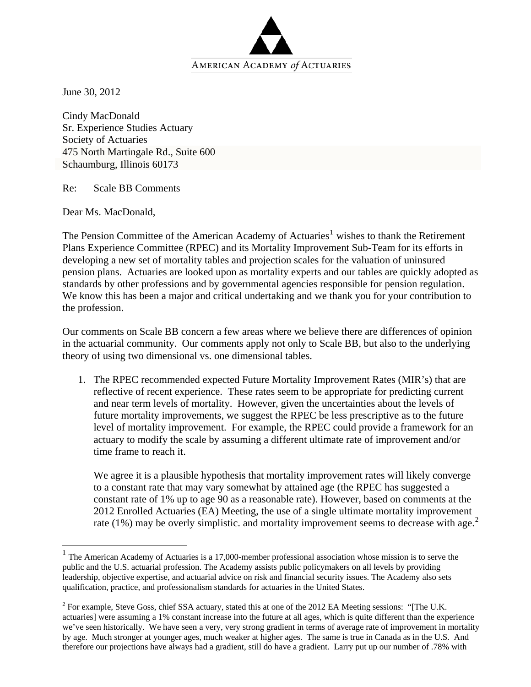

June 30, 2012

Cindy MacDonald Sr. Experience Studies Actuary Society of Actuaries 475 North Martingale Rd., Suite 600 Schaumburg, Illinois 60173

Re: Scale BB Comments

Dear Ms. MacDonald,

 $\overline{a}$ 

The Pension Committee of the American Academy of Actuaries<sup>[1](#page-0-0)</sup> wishes to thank the Retirement Plans Experience Committee (RPEC) and its Mortality Improvement Sub-Team for its efforts in developing a new set of mortality tables and projection scales for the valuation of uninsured pension plans. Actuaries are looked upon as mortality experts and our tables are quickly adopted as standards by other professions and by governmental agencies responsible for pension regulation. We know this has been a major and critical undertaking and we thank you for your contribution to the profession.

Our comments on Scale BB concern a few areas where we believe there are differences of opinion in the actuarial community. Our comments apply not only to Scale BB, but also to the underlying theory of using two dimensional vs. one dimensional tables.

1. The RPEC recommended expected Future Mortality Improvement Rates (MIR's) that are reflective of recent experience. These rates seem to be appropriate for predicting current and near term levels of mortality. However, given the uncertainties about the levels of future mortality improvements, we suggest the RPEC be less prescriptive as to the future level of mortality improvement. For example, the RPEC could provide a framework for an actuary to modify the scale by assuming a different ultimate rate of improvement and/or time frame to reach it.

We agree it is a plausible hypothesis that mortality improvement rates will likely converge to a constant rate that may vary somewhat by attained age (the RPEC has suggested a constant rate of 1% up to age 90 as a reasonable rate). However, based on comments at the 2012 Enrolled Actuaries (EA) Meeting, the use of a single ultimate mortality improvement rate (1%) may be overly simplistic. and mortality improvement seems to decrease with age.<sup>[2](#page-0-1)</sup>

<span id="page-0-0"></span> $1$  The American Academy of Actuaries is a 17,000-member professional association whose mission is to serve the public and the U.S. actuarial profession. The Academy assists public policymakers on all levels by providing leadership, objective expertise, and actuarial advice on risk and financial security issues. The Academy also sets qualification, practice, and professionalism standards for actuaries in the United States.

<span id="page-0-1"></span> $2^2$  For example, Steve Goss, chief SSA actuary, stated this at one of the 2012 EA Meeting sessions: "[The U.K. actuaries] were assuming a 1% constant increase into the future at all ages, which is quite different than the experience we've seen historically. We have seen a very, very strong gradient in terms of average rate of improvement in mortality by age. Much stronger at younger ages, much weaker at higher ages. The same is true in Canada as in the U.S. And therefore our projections have always had a gradient, still do have a gradient. Larry put up our number of .78% with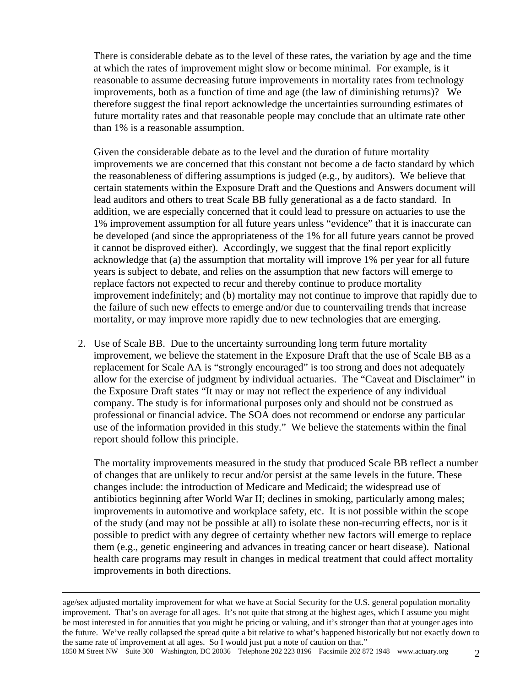There is considerable debate as to the level of these rates, the variation by age and the time at which the rates of improvement might slow or become minimal. For example, is it reasonable to assume decreasing future improvements in mortality rates from technology improvements, both as a function of time and age (the law of diminishing returns)? We therefore suggest the final report acknowledge the uncertainties surrounding estimates of future mortality rates and that reasonable people may conclude that an ultimate rate other than 1% is a reasonable assumption.

Given the considerable debate as to the level and the duration of future mortality improvements we are concerned that this constant not become a de facto standard by which the reasonableness of differing assumptions is judged (e.g., by auditors). We believe that certain statements within the Exposure Draft and the Questions and Answers document will lead auditors and others to treat Scale BB fully generational as a de facto standard. In addition, we are especially concerned that it could lead to pressure on actuaries to use the 1% improvement assumption for all future years unless "evidence" that it is inaccurate can be developed (and since the appropriateness of the 1% for all future years cannot be proved it cannot be disproved either). Accordingly, we suggest that the final report explicitly acknowledge that (a) the assumption that mortality will improve 1% per year for all future years is subject to debate, and relies on the assumption that new factors will emerge to replace factors not expected to recur and thereby continue to produce mortality improvement indefinitely; and (b) mortality may not continue to improve that rapidly due to the failure of such new effects to emerge and/or due to countervailing trends that increase mortality, or may improve more rapidly due to new technologies that are emerging.

2. Use of Scale BB. Due to the uncertainty surrounding long term future mortality improvement, we believe the statement in the Exposure Draft that the use of Scale BB as a replacement for Scale AA is "strongly encouraged" is too strong and does not adequately allow for the exercise of judgment by individual actuaries. The "Caveat and Disclaimer" in the Exposure Draft states "It may or may not reflect the experience of any individual company. The study is for informational purposes only and should not be construed as professional or financial advice. The SOA does not recommend or endorse any particular use of the information provided in this study." We believe the statements within the final report should follow this principle.

The mortality improvements measured in the study that produced Scale BB reflect a number of changes that are unlikely to recur and/or persist at the same levels in the future. These changes include: the introduction of Medicare and Medicaid; the widespread use of antibiotics beginning after World War II; declines in smoking, particularly among males; improvements in automotive and workplace safety, etc. It is not possible within the scope of the study (and may not be possible at all) to isolate these non-recurring effects, nor is it possible to predict with any degree of certainty whether new factors will emerge to replace them (e.g., genetic engineering and advances in treating cancer or heart disease). National health care programs may result in changes in medical treatment that could affect mortality improvements in both directions.

age/sex adjusted mortality improvement for what we have at Social Security for the U.S. general population mortality improvement. That's on average for all ages. It's not quite that strong at the highest ages, which I assume you might be most interested in for annuities that you might be pricing or valuing, and it's stronger than that at younger ages into the future. We've really collapsed the spread quite a bit relative to what's happened historically but not exactly down to the same rate of improvement at all ages. So I would just put a note of caution on that."

1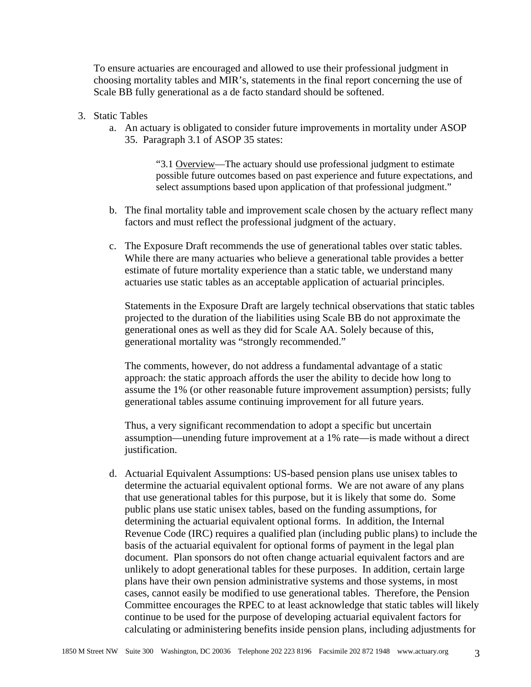To ensure actuaries are encouraged and allowed to use their professional judgment in choosing mortality tables and MIR's, statements in the final report concerning the use of Scale BB fully generational as a de facto standard should be softened.

- 3. Static Tables
	- a. An actuary is obligated to consider future improvements in mortality under ASOP 35. Paragraph 3.1 of ASOP 35 states:

"3.1 Overview—The actuary should use professional judgment to estimate possible future outcomes based on past experience and future expectations, and select assumptions based upon application of that professional judgment."

- b. The final mortality table and improvement scale chosen by the actuary reflect many factors and must reflect the professional judgment of the actuary.
- c. The Exposure Draft recommends the use of generational tables over static tables. While there are many actuaries who believe a generational table provides a better estimate of future mortality experience than a static table, we understand many actuaries use static tables as an acceptable application of actuarial principles.

Statements in the Exposure Draft are largely technical observations that static tables projected to the duration of the liabilities using Scale BB do not approximate the generational ones as well as they did for Scale AA. Solely because of this, generational mortality was "strongly recommended."

The comments, however, do not address a fundamental advantage of a static approach: the static approach affords the user the ability to decide how long to assume the 1% (or other reasonable future improvement assumption) persists; fully generational tables assume continuing improvement for all future years.

Thus, a very significant recommendation to adopt a specific but uncertain assumption—unending future improvement at a 1% rate—is made without a direct justification.

d. Actuarial Equivalent Assumptions: US-based pension plans use unisex tables to determine the actuarial equivalent optional forms. We are not aware of any plans that use generational tables for this purpose, but it is likely that some do. Some public plans use static unisex tables, based on the funding assumptions, for determining the actuarial equivalent optional forms. In addition, the Internal Revenue Code (IRC) requires a qualified plan (including public plans) to include the basis of the actuarial equivalent for optional forms of payment in the legal plan document. Plan sponsors do not often change actuarial equivalent factors and are unlikely to adopt generational tables for these purposes. In addition, certain large plans have their own pension administrative systems and those systems, in most cases, cannot easily be modified to use generational tables. Therefore, the Pension Committee encourages the RPEC to at least acknowledge that static tables will likely continue to be used for the purpose of developing actuarial equivalent factors for calculating or administering benefits inside pension plans, including adjustments for